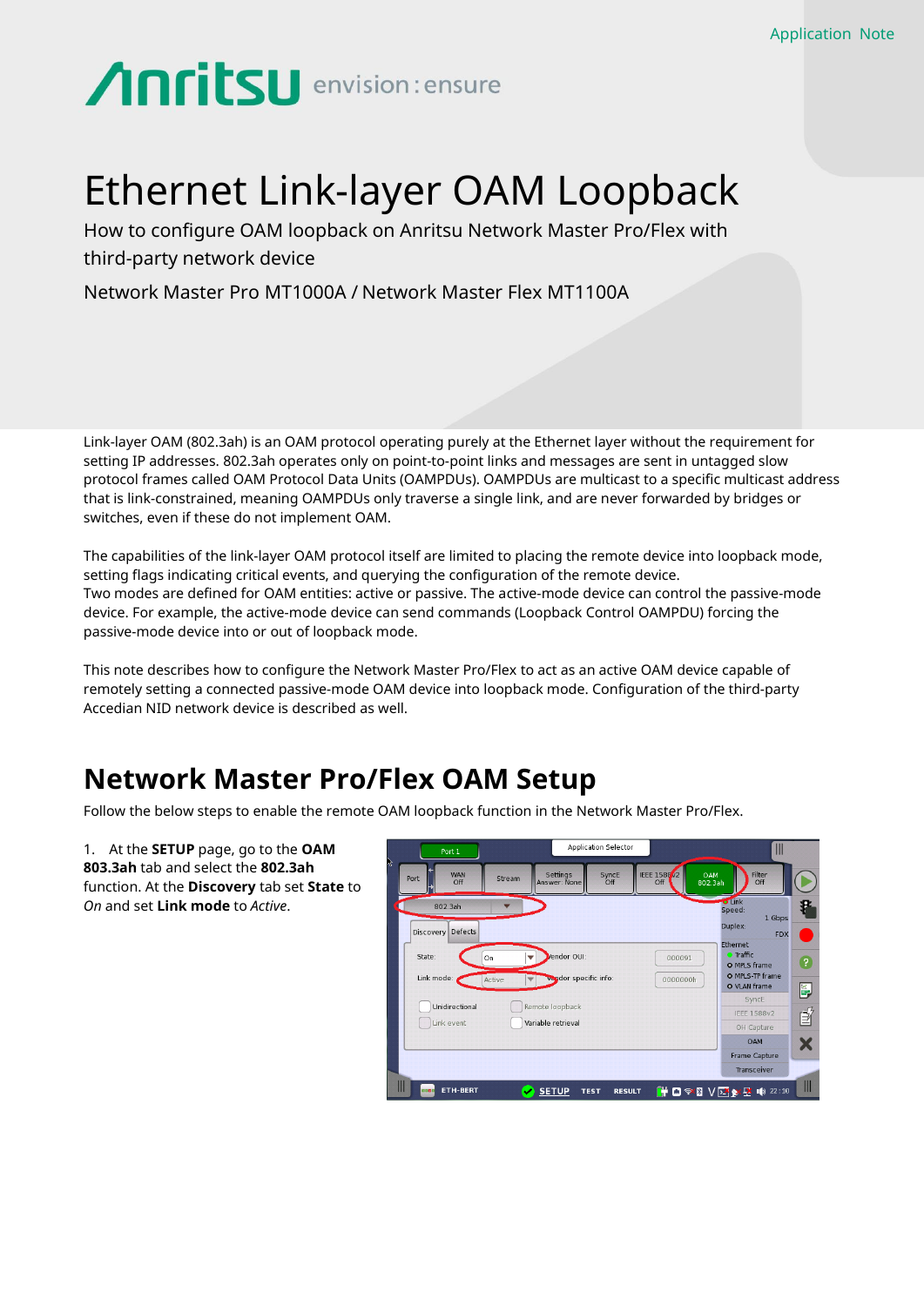# **Anritsu** envision: ensure

## Ethernet Link-layer OAM Loopback

How to configure OAM loopback on Anritsu Network Master Pro/Flex with third-party network device

Network Master Pro MT1000A / Network Master Flex MT1100A

Link-layer OAM (802.3ah) is an OAM protocol operating purely at the Ethernet layer without the requirement for setting IP addresses. 802.3ah operates only on point-to-point links and messages are sent in untagged slow protocol frames called OAM Protocol Data Units (OAMPDUs). OAMPDUs are multicast to a specific multicast address that is link-constrained, meaning OAMPDUs only traverse a single link, and are never forwarded by bridges or switches, even if these do not implement OAM.

The capabilities of the link-layer OAM protocol itself are limited to placing the remote device into loopback mode, setting flags indicating critical events, and querying the configuration of the remote device. Two modes are defined for OAM entities: active or passive. The active-mode device can control the passive-mode device. For example, the active-mode device can send commands (Loopback Control OAMPDU) forcing the passive-mode device into or out of loopback mode.

This note describes how to configure the Network Master Pro/Flex to act as an active OAM device capable of remotely setting a connected passive-mode OAM device into loopback mode. Configuration of the third-party Accedian NID network device is described as well.

### **Network Master Pro/Flex OAM Setup**

Follow the below steps to enable the remote OAM loopback function in the Network Master Pro/Flex.

1. At the **SETUP** page, go to the **OAM 803.3ah** tab and select the **802.3ah** function. At the **Discovery** tab set **State** to *On* and set **Link mode** to *Active*.

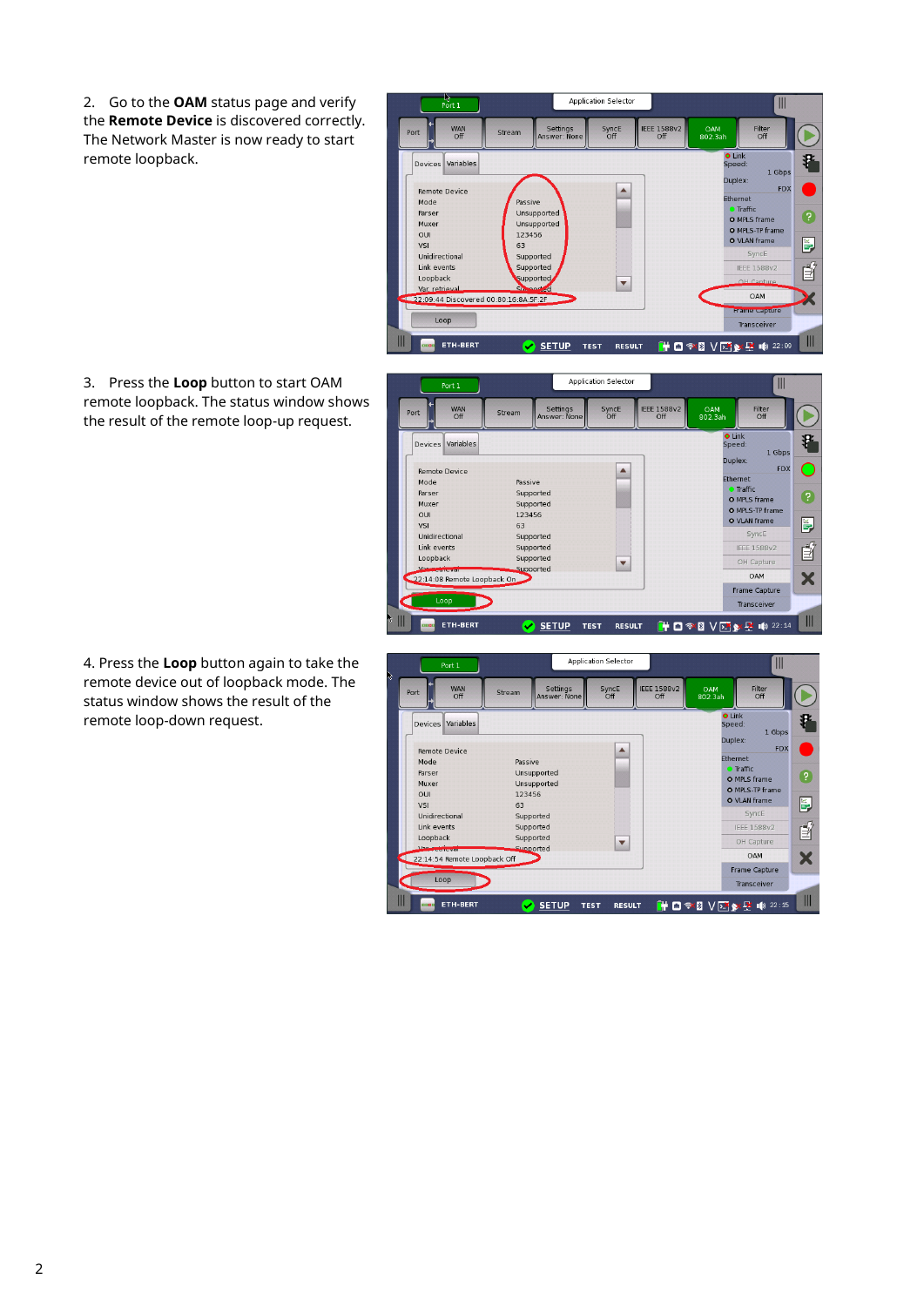2. Go to the **OAM** status page and verify the **Remote Device** is discovered correctly. The Network Master is now ready to start remote loopback.

3. Press the **Loop** button to start OAM remote loopback. The status window shows WAN<br>Off Port the result of the remote loop-up request. Devices Variables

 $\frac{1}{\sqrt{2}}$ 

Loopback

 $\mathbb{I}$ 

Supported<br>22:14:08 Remote Loopback On

D

4. Press the **Loop** button again to take the remote device out of loopback mode. The status window shows the result of the remote loop-down request.



Application Selector

 $\mathbb{I}$ 

OH Capture

OAM

Frame Capture

Transceiver

X



 $\overline{\phantom{a}}$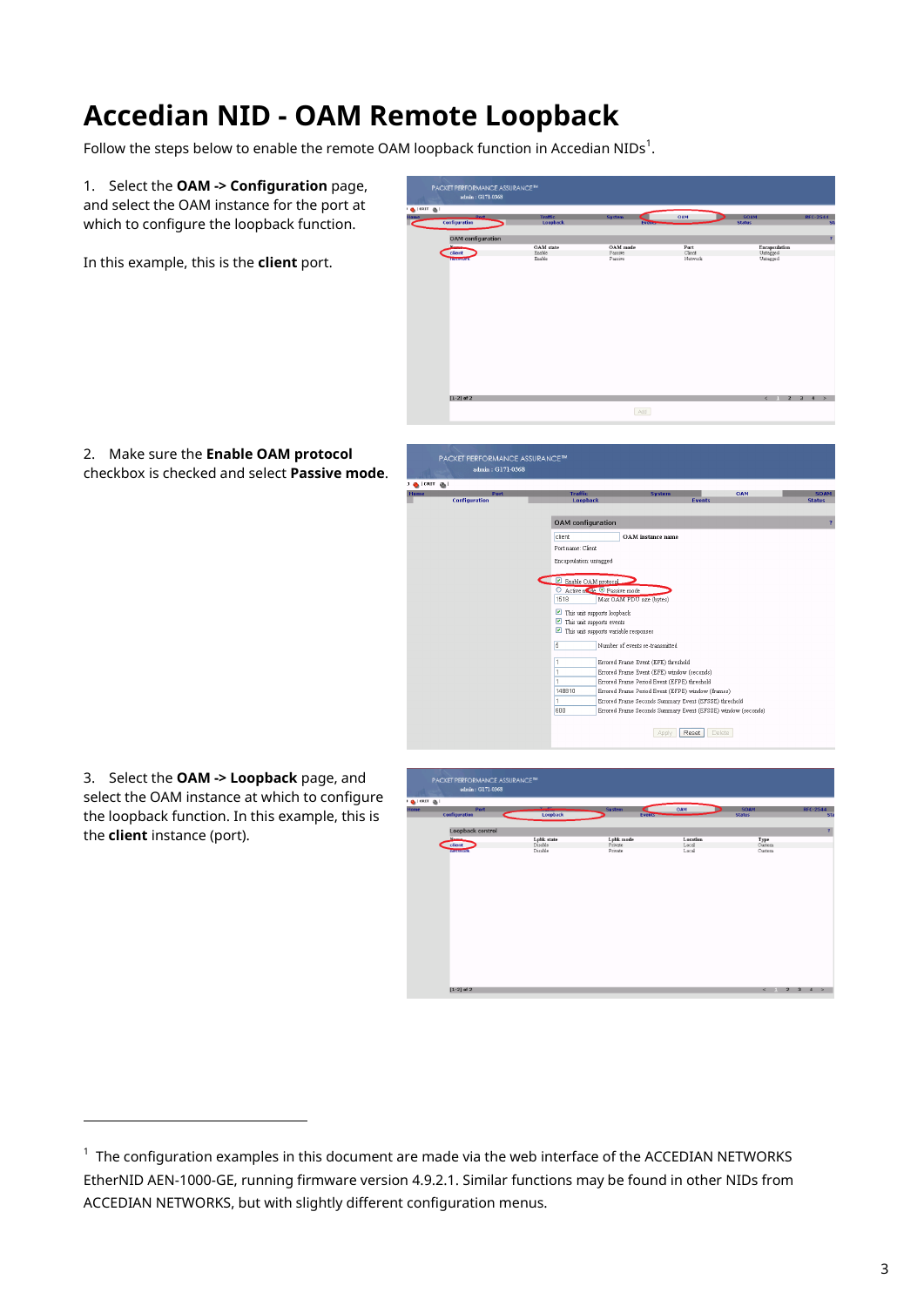### **Accedian NID - OAM Remote Loopback**

Follow the steps below to enable the remote OAM loopback function in Accedian NIDs $^1\!$ .

1. Select the **OAM -> Configuration** page, and select the OAM instance for the port at which to configure the loopback function.

In this example, this is the **client** port.



2. Make sure the **Enable OAM protocol** checkbox is checked and select **Passive mode**.



3. Select the **OAM -> Loopback** page, and select the OAM instance at which to configure the loopback function. In this example, this is the **client** instance (port).

l



 $^1$  The configuration examples in this document are made via the web interface of the ACCEDIAN NETWORKS EtherNID AEN-1000-GE, running firmware version 4.9.2.1. Similar functions may be found in other NIDs from ACCEDIAN NETWORKS, but with slightly different configuration menus.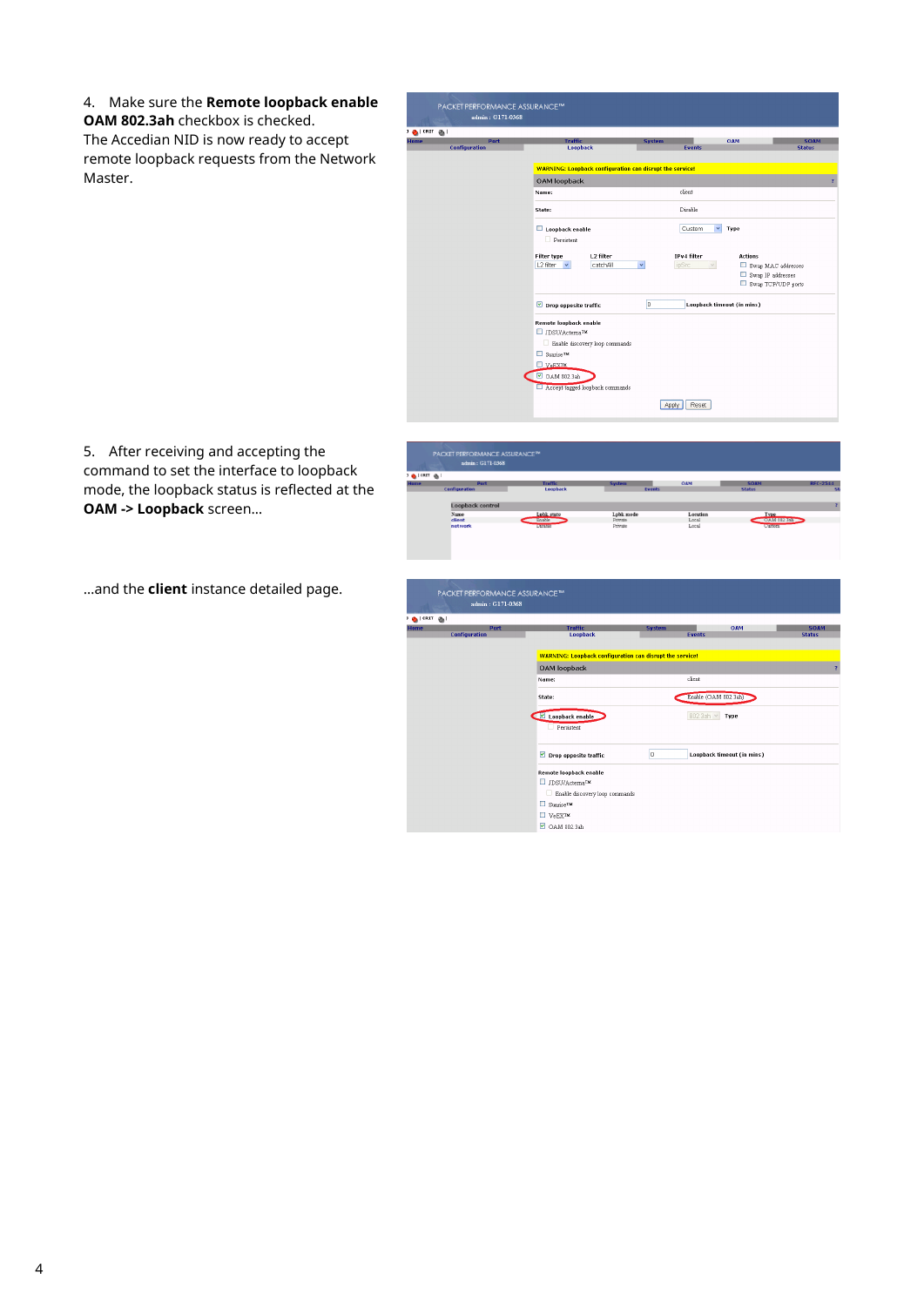4. Make sure the **Remote loopback enable**

**OAM 802.3ah** checkbox is checked. The Accedian NID is now ready to accept remote loopback requests from the Network Master.



5. After receiving and accepting the command to set the interface to loopback mode, the loopback status is reflected at the **OAM -> Loopback** screen…

…and the **client** instance detailed page.

| Home                                 | Port                                              | <b>Traffic</b>             | <b>System</b>      | OAM                            | <b>SOAM</b>                     | <b>RFC-2544</b>              |  |  |  |
|--------------------------------------|---------------------------------------------------|----------------------------|--------------------|--------------------------------|---------------------------------|------------------------------|--|--|--|
|                                      | <b>Configuration</b>                              | Loopback                   | Events             |                                | <b>Status</b>                   | St                           |  |  |  |
|                                      | Loopback control                                  |                            |                    |                                |                                 |                              |  |  |  |
|                                      | Name                                              | <b>Lobk</b> state          | <b>Lpbk</b> mode   | Location                       | <b>Type</b>                     |                              |  |  |  |
|                                      | client<br>network                                 | Enable<br><b>DEFINE</b>    | Private<br>Private | Local<br>Local                 | OAM 802.3ah<br><b>Lettesten</b> |                              |  |  |  |
|                                      |                                                   |                            |                    |                                |                                 |                              |  |  |  |
|                                      |                                                   |                            |                    |                                |                                 |                              |  |  |  |
|                                      | PACKET PERFORMANCE ASSURANCE™<br>admin: G171-0368 |                            |                    |                                |                                 |                              |  |  |  |
| $\frac{1}{2}$ (CRIT $\frac{1}{20}$ ) |                                                   |                            |                    |                                |                                 |                              |  |  |  |
| <b>Home</b>                          | Port<br><b>Configuration</b>                      | <b>Traffic</b><br>Loopback |                    | <b>System</b><br><b>Events</b> | OAM                             | <b>SOAM</b><br><b>Status</b> |  |  |  |

client

 $\begin{tabular}{|c|c|} \hline 0 & \multicolumn{3}{|c|}{\textbf{0}}\\ \hline \end{tabular}$ 

Enable (OAM 802.3ah)

 $802.3ah \times$  Type

Loopback timeout (in mins)

OAM loopback Name:

Loopback enable

 $\boxed{\triangleright}$  Drop opposite traffic

**Remote loopback enable**  $\Box$  JDSU/Actema<sup>TM</sup> Enable discovery loop commands

 $\Box$  Sunrise<br>  $\bar{\phantom{a}}^{\phantom{a}}$  $\Box$   $v_{eEX}$  $\Box$  OAM 802.3ah

State:

PACKET PERFORMANCE ASSURANCE<sup>M</sup><br>admin : 0171.0269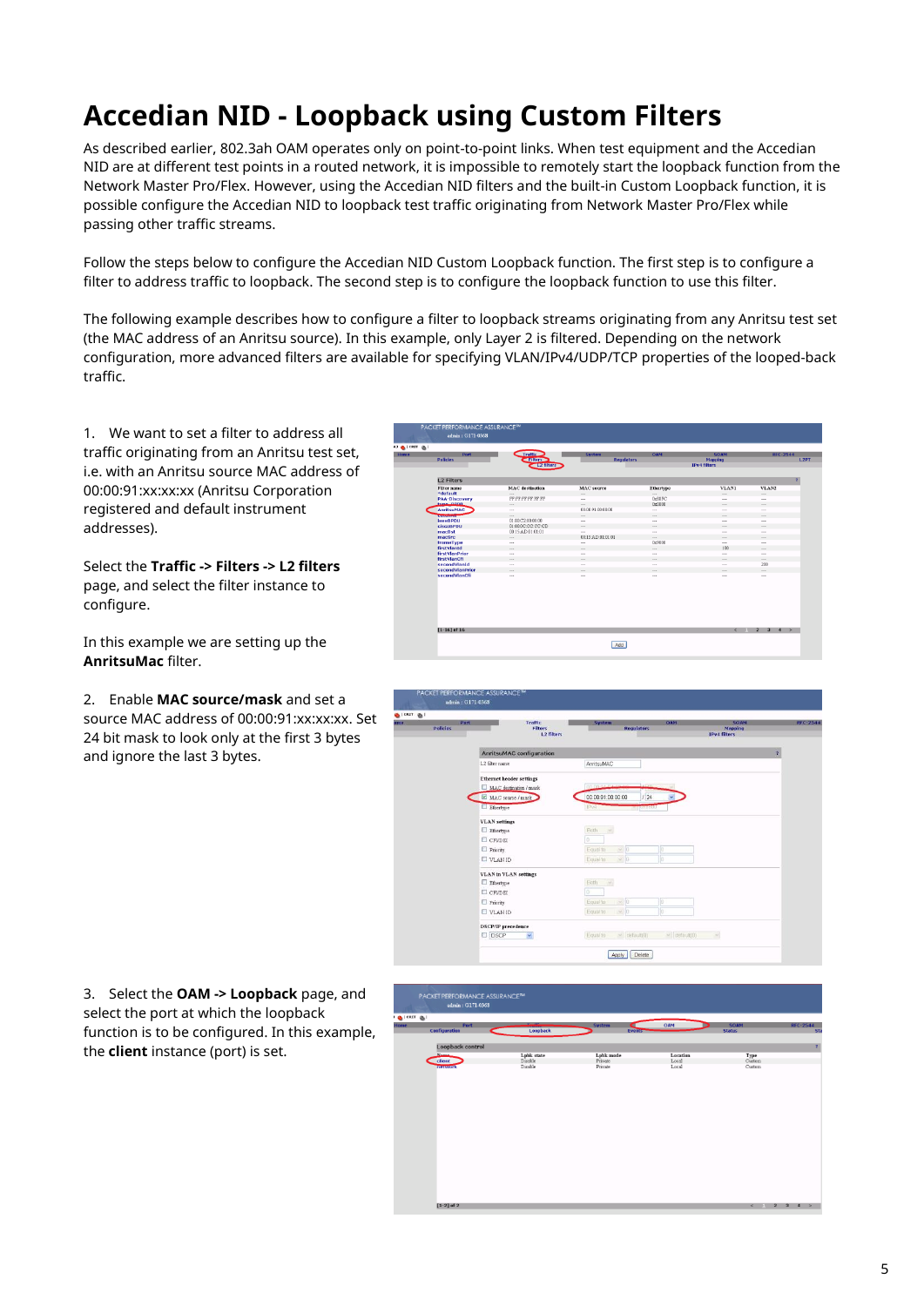### **Accedian NID - Loopback using Custom Filters**

As described earlier, 802.3ah OAM operates only on point-to-point links. When test equipment and the Accedian NID are at different test points in a routed network, it is impossible to remotely start the loopback function from the Network Master Pro/Flex. However, using the Accedian NID filters and the built-in Custom Loopback function, it is possible configure the Accedian NID to loopback test traffic originating from Network Master Pro/Flex while passing other traffic streams.

Follow the steps below to configure the Accedian NID Custom Loopback function. The first step is to configure a filter to address traffic to loopback. The second step is to configure the loopback function to use this filter.

The following example describes how to configure a filter to loopback streams originating from any Anritsu test set (the MAC address of an Anritsu source). In this example, only Layer 2 is filtered. Depending on the network configuration, more advanced filters are available for specifying VLAN/IPv4/UDP/TCP properties of the looped-back traffic.

1. We want to set a filter to address all traffic originating from an Anritsu test set, i.e. with an Anritsu source MAC address of 00:00:91:xx:xx:xx (Anritsu Corporation registered and default instrument addresses).

Select the **Traffic -> Filters -> L2 filters**  page, and select the filter instance to configure.

In this example we are setting up the **AnritsuMac** filter.

2. Enable **MAC source/mask** and set a source MAC address of 00:00:91:xx:xx:xx. Set 24 bit mask to look only at the first 3 bytes and ignore the last 3 bytes.

| Port<br><b>Policies</b> | Traffic<br>$-$ Filters $\rightarrow$<br>L2 filters | <b>System</b><br><b>Regulators</b> | OAM       | <b>SOAM</b><br><b>Mapping</b><br><b>IPv4 filters</b> | <b>RFC-2544</b> |
|-------------------------|----------------------------------------------------|------------------------------------|-----------|------------------------------------------------------|-----------------|
|                         |                                                    |                                    |           |                                                      |                 |
| <b>L2 Filters</b>       |                                                    |                                    |           |                                                      |                 |
| <b>Filter</b> name      | <b>MAC</b> destination                             | <b>MAC</b> source                  | Ethertype | <b>VLAN1</b>                                         | VLAN2           |
| *default                | $\cdots$                                           | $\cdots$                           | $\cdots$  | $\cdots$                                             | $\cdots$        |
| <b>PAA-Discovery</b>    | FF:FF:FF:FF:FF:FF                                  | $\sim$                             | 0x88FC    | $\sim$                                               | $\cdots$        |
| tune noon               | $\cdots$                                           | $\cdots$                           | 0x0800    | $-1$                                                 | 7.7.7           |
| <b>AnritsuMAC</b>       | 1.11                                               | 00:00:91:00:00:00                  | $\cdots$  | $\sim$                                               | $\cdots$        |
| turcomm                 | $\cdots$                                           | $\cdots$                           | $\cdots$  | $\sim$                                               | $\cdots$        |
| loceBPDU                | 0130C2000000                                       | $\cdots$                           | $\cdots$  | $\sim$                                               | $\cdots$        |
| <b>CISCOBPDU</b>        | 01000C:CC:CC:CD                                    | $\sim$                             | $\sim$    | $\sim$                                               | $\sim$          |
| macDst                  | 00:15:AD:01:01:01                                  | $\cdots$                           | $\cdots$  | $\sim$ $\sim$ $\sim$                                 | 1.11            |
| macSrc                  | $***$                                              | 00:15:AD:01:01:01                  | $\cdots$  | $***$                                                | $\cdots$        |
| frameType               | $\cdots$                                           | $\sim$                             | 0x9000    | $\sim$                                               | $\cdots$        |
| firstVlanId             | $\sim$                                             | <b>ALC</b>                         | $\sim$    | 100                                                  | <b>ALC</b>      |
| firstVlanPrior          | $\sim$                                             | $\sim$                             | $\sim$    | $\sim$                                               | $\sim$          |
| firstVlanCfi            | $\cdots$                                           | $***$                              | $\cdots$  | $***$                                                | $\cdots$        |
| secondVlanId            | $\sim$                                             | $\sim$                             | $\cdots$  | $\sim$                                               | 200             |
| secondVlanPrior         | $\cdots$                                           | $\cdots$                           | $\cdots$  | $\cdots$                                             | $\cdots$        |
| secondVlanCfi           | $\sim$                                             | $\sim$                             | $\sim$    | $\sim$                                               | 1.11            |
| $[1 - 16]$ of 16        |                                                    |                                    |           | $\leq$ $\qquad$                                      | $2 \t3 \t4$     |



3. Select the **OAM -> Loopback** page, and select the port at which the loopback function is to be configured. In this example, the **client** instance (port) is set.

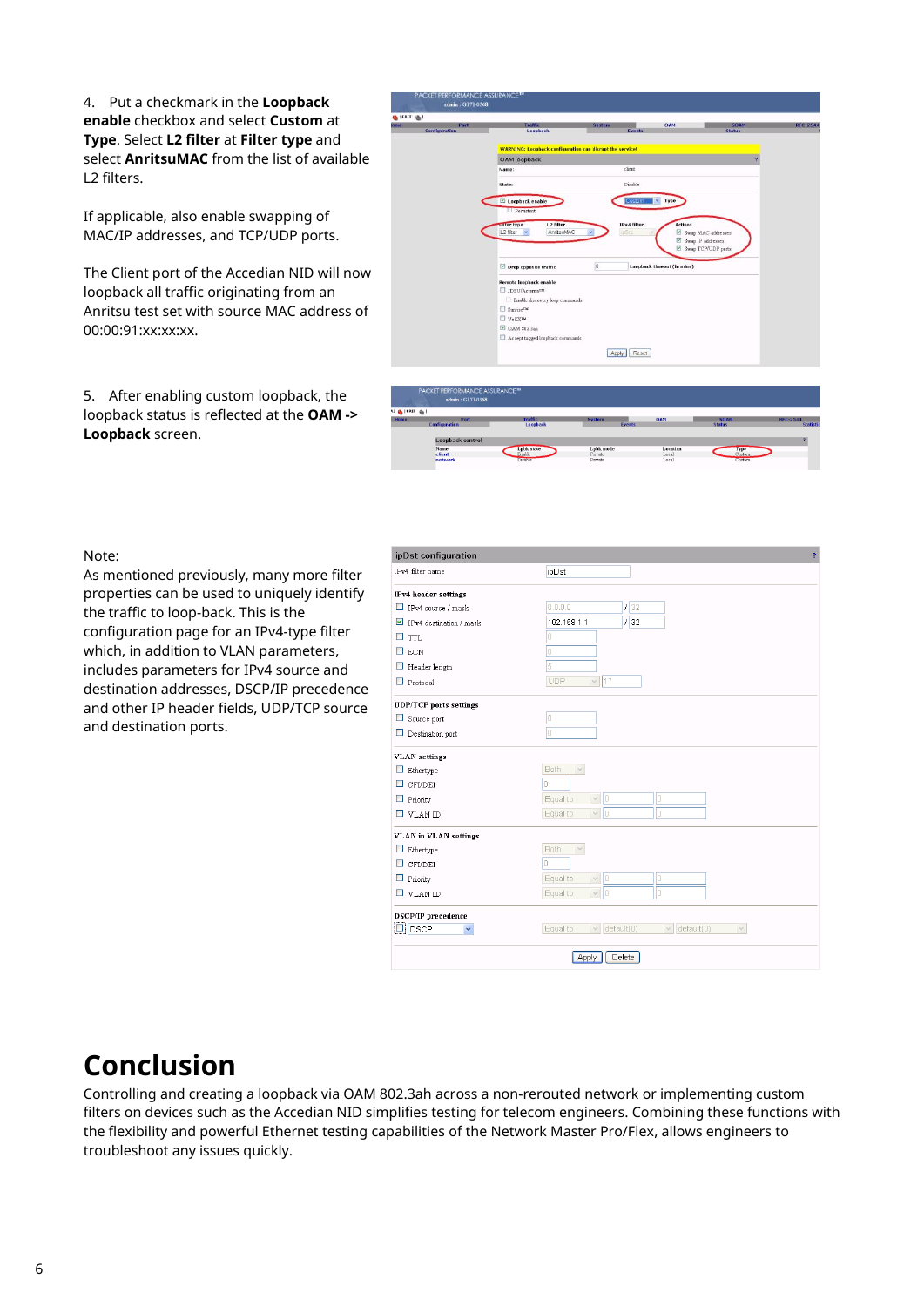4. Put a checkmark in the **Loopback enable** checkbox and select **Custom** at **Type**. Select **L2 filter** at **Filter type** and select **AnritsuMAC** from the list of available L2 filters.

If applicable, also enable swapping of MAC/IP addresses, and TCP/UDP ports.

The Client port of the Accedian NID will now loopback all traffic originating from an Anritsu test set with source MAC address of 00:00:91:xx:xx:xx.

5. After enabling custom loopback, the loopback status is reflected at the **OAM -> Loopback** screen.



Local<br>Local<br>.

#### Note:

As mentioned previously, many more filter properties can be used to uniquely identify the traffic to loop-back. This is the configuration page for an IPv4-type filter which, in addition to VLAN parameters, includes parameters for IPv4 source and destination addresses, DSCP/IP precedence and other IP header fields, UDP/TCP source and destination ports.

| ipDst configuration<br>$\overline{?}$    |                                                                    |  |  |  |  |
|------------------------------------------|--------------------------------------------------------------------|--|--|--|--|
| IPv4 filter name                         | ipDst                                                              |  |  |  |  |
| <b>IPv4</b> header settings              |                                                                    |  |  |  |  |
| $\Box$ IPv4 source / mask                | 132<br>0.0.0.0                                                     |  |  |  |  |
| $\triangleright$ IPv4 destination / mask | 132<br>192.168.1.1                                                 |  |  |  |  |
| $\Box$ TTL                               | 0                                                                  |  |  |  |  |
| $\Box$ ECN                               | 0                                                                  |  |  |  |  |
| $\Box$ Header length                     | 5                                                                  |  |  |  |  |
| $\Box$ Protocol                          | $\vee$ 17<br><b>UDP</b>                                            |  |  |  |  |
| <b>UDP/TCP</b> ports settings            |                                                                    |  |  |  |  |
| $\Box$ Source port                       | lo.                                                                |  |  |  |  |
| $\Box$ Destination port                  | o                                                                  |  |  |  |  |
| <b>VLAN</b> settings                     |                                                                    |  |  |  |  |
| $\Box$ Ethertype                         | Both<br>$\lor$                                                     |  |  |  |  |
| <b>CFI/DEI</b><br>ш                      | П                                                                  |  |  |  |  |
| $\Box$ Priority                          | $\vee$ 0<br>lo.<br>Equal to                                        |  |  |  |  |
| $\Box$ VLAN ID                           | $\vee$ 0<br>$\Box$<br>Equal to                                     |  |  |  |  |
| <b>VLAN</b> in VLAN settings             |                                                                    |  |  |  |  |
| $\Box$ Ethertype                         | <b>Both</b><br>$\sim$                                              |  |  |  |  |
| <b>CFI/DEI</b><br>□                      |                                                                    |  |  |  |  |
| $\Box$ Priority                          | $\vee$ 0<br>Equal to<br>0                                          |  |  |  |  |
| $\Box$ VLAN ID                           | v  0<br>lo<br>Equal to                                             |  |  |  |  |
| DSCP/IP precedence                       |                                                                    |  |  |  |  |
| $\Box$ DSCP                              | Equal to<br>$\vee$ default(0)<br>$\vee$ default(0)<br>$\checkmark$ |  |  |  |  |
|                                          | Delete<br>Apply                                                    |  |  |  |  |

### **Conclusion**

Controlling and creating a loopback via OAM 802.3ah across a non-rerouted network or implementing custom filters on devices such as the Accedian NID simplifies testing for telecom engineers. Combining these functions with the flexibility and powerful Ethernet testing capabilities of the Network Master Pro/Flex, allows engineers to troubleshoot any issues quickly.